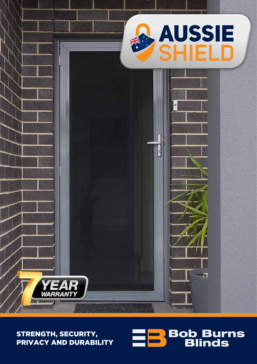

# STRENGTH, SECURITY, PRIVACY AND DURABILITY